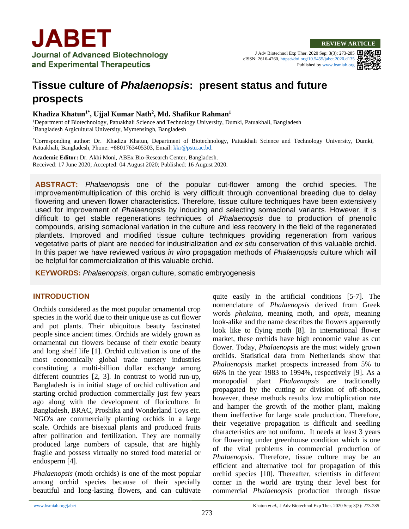J Adv Biotechnol Exp Ther. 2020 Sep; 3(3): 273-285 eISSN: 2616-4760[, https://doi.org/10.5455/jabet.2020.d135](https://doi.org/10.5455/jabet.2020.d135) Published b[y www.bsmiab.org](http://www.bsmiab.org/)



# **Tissue culture of** *Phalaenopsis***: present status and future prospects**

# **Khadiza Khatun1\*, Ujjal Kumar Nath<sup>2</sup> , Md. Shafikur Rahman<sup>1</sup>**

<sup>1</sup>Department of Biotechnology, Patuakhali Science and Technology University, Dumki, Patuakhali, Bangladesh <sup>2</sup>Bangladesh Argicultural University, Mymensingh, Bangladesh

\*Corresponding author: Dr. Khadiza Khatun, Department of Biotechnology, Patuakhali Science and Technology University, Dumki, Patuakhali, Bangladesh, Phone: +8801763405303, Email[: kkr@pstu.ac.bd.](mailto:kkr@pstu.ac.bd)

**Academic Editor:** Dr. Akhi Moni, ABEx Bio-Research Center, Bangladesh. Received: 17 June 2020; Accepted: 04 August 2020; Published: 16 August 2020.

**ABSTRACT:** *Phalaenopsis* one of the popular cut-flower among the orchid species. The improvement/multiplication of this orchid is very difficult through conventional breeding due to delay flowering and uneven flower characteristics. Therefore, tissue culture techniques have been extensively used for improvement of *Phalaenopsis* by inducing and selecting somaclonal variants. However, it is difficult to get stable regenerations techniques of *Phalaenopsis* due to production of phenolic compounds, arising somaclonal variation in the culture and less recovery in the field of the regenerated plantlets. Improved and modified tissue culture techniques providing regeneration from various vegetative parts of plant are needed for industrialization and *ex situ* conservation of this valuable orchid. In this paper we have reviewed various *in vitro* propagation methods of *Phalaenopsis* culture which will be helpful for commercialization of this valuable orchid.

**KEYWORDS:** *Phalaenopsis*, organ culture, somatic embryogenesis

# **INTRODUCTION**

Orchids considered as the most popular ornamental crop species in the world due to their unique use as cut flower and pot plants. Their ubiquitous beauty fascinated people since ancient times. Orchids are widely grown as ornamental cut flowers because of their exotic beauty and long shelf life [\[1\]](#page-10-0). Orchid cultivation is one of the most economically global trade nursery industries constituting a multi-billion dollar exchange among different countries [\[2,](#page-10-1) [3\]](#page-10-2). In contrast to world run-up, Bangladesh is in initial stage of orchid cultivation and starting orchid production commercially just few years ago along with the development of floriculture. In Bangladesh, BRAC, Proshika and Wonderland Toys etc. NGO's are commercially planting orchids in a large scale. Orchids are bisexual plants and produced fruits after pollination and fertilization. They are normally produced large numbers of capsule, that are highly fragile and possess virtually no stored food material or endosperm [\[4\]](#page-10-3).

*Phalaenopsis* (moth orchids) is one of the most popular among orchid species because of their specially beautiful and long-lasting flowers, and can cultivate quite easily in the artificial conditions [\[5-7\]](#page-10-4). The nomenclature of *Phalaenopsis* derived from Greek words *phalaina*, meaning moth, and *opsis*, meaning look-alike and the name describes the flowers apparently look like to flying moth [\[8\]](#page-10-5). In international flower market, these orchids have high economic value as cut flower. Today, *Phalaenopsis* are the most widely grown orchids. Statistical data from Netherlands show that *Phalaenopsis* market prospects increased from 5% to 66% in the year 1983 to 1994%, respectively [\[9\]](#page-10-6). As a monopodial plant *Phalaenopsis* are traditionally propagated by the cutting or division of off-shoots, however, these methods results low multiplication rate and hamper the growth of the mother plant, making them ineffective for large scale production. Therefore, their vegetative propagation is difficult and seedling characteristics are not uniform. It needs at least 3 years for flowering under greenhouse condition which is one of the vital problems in commercial production of *Phalaenopsis*. Therefore, tissue culture may be an efficient and alternative tool for propagation of this orchid species [\[10\]](#page-10-7). Thereafter, scientists in different corner in the world are trying their level best for commercial *Phalaenopsis* production through tissue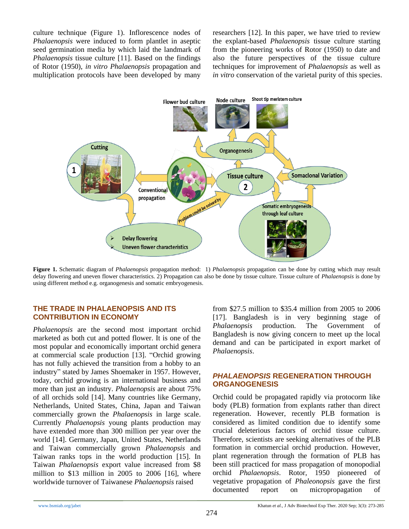culture technique (Figure 1). Inflorescence nodes of *Phalaenopsis* were induced to form plantlet in aseptic seed germination media by which laid the landmark of *Phalaenopsis* tissue culture [11]. Based on the findings of Rotor (1950), *in vitro Phalaenopsis* propagation and multiplication protocols have been developed by many

researchers [\[12\]](#page-10-8). In this paper, we have tried to review the explant-based *Phalaenopsis* tissue culture starting from the pioneering works of Rotor (1950) to date and also the future perspectives of the tissue culture techniques for improvement of *Phalaenopsis* as well as *in vitro* conservation of the varietal purity of this species.



**Figure 1.** Schematic diagram of *Phalaenopsis* propagation method: 1) *Phalaenopsis* propagation can be done by cutting which may result delay flowering and uneven flower characteristics. 2) Propagation can also be done by tissue culture. Tissue culture of *Phalaenopsis* is done by using different method e.g. organogenesis and somatic embryogenesis.

## **THE TRADE IN PHALAENOPSIS AND ITS CONTRIBUTION IN ECONOMY**

*Phalaenopsis* are the second most important orchid marketed as both cut and potted flower. It is one of the most popular and economically important orchid genera at commercial scale production [\[13\]](#page-10-9). "Orchid growing has not fully achieved the transition from a hobby to an industry" stated by James Shoemaker in 1957. However, today, orchid growing is an international business and more than just an industry. *Phalaenopsis* are about 75% of all orchids sold [\[14\]](#page-10-10). Many countries like Germany, Netherlands, United States, China, Japan and Taiwan commercially grown the *Phalaenopsis* in large scale. Currently *Phalaenopsis* young plants production may have extended more than 300 million per year over the world [\[14\]](#page-10-10). Germany, Japan, United States, Netherlands and Taiwan commercially grown *Phalaenopsis* and Taiwan ranks tops in the world production [\[15\]](#page-10-11). In Taiwan *Phalaenopsis* export value increased from \$8 million to \$13 million in 2005 to 2006 [\[16\]](#page-10-12), where worldwide turnover of Taiwanese *Phalaenopsis* raised

from \$27.5 million to \$35.4 million from 2005 to 2006 [\[17\]](#page-10-13). Bangladesh is in very beginning stage of *Phalaenopsis* production. The Government of Bangladesh is now giving concern to meet up the local demand and can be participated in export market of *Phalaenopsis*.

# *PHALAENOPSIS* **REGENERATION THROUGH ORGANOGENESIS**

Orchid could be propagated rapidly via protocorm like body (PLB) formation from explants rather than direct regeneration. However, recently PLB formation is considered as limited condition due to identify some crucial deleterious factors of orchid tissue culture. Therefore, scientists are seeking alternatives of the PLB formation in commercial orchid production. However, plant regeneration through the formation of PLB has been still practiced for mass propagation of monopodial orchid *Phalaenopsis*. Rotor, 1950 pioneered of vegetative propagation of *Phaleonopsis* gave the first documented report on micropropagation of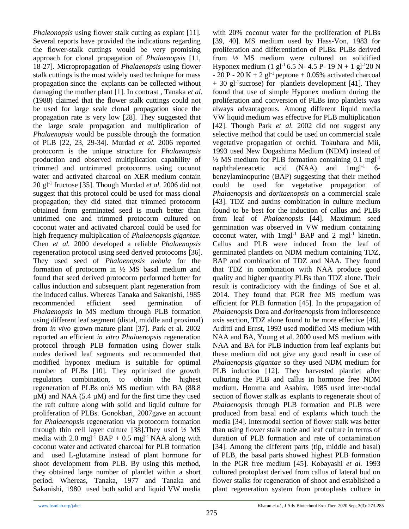*Phaleonopsis* using flower stalk cutting as explant [\[11\]](#page-10-14). Several reports have provided the indications regarding the flower-stalk cuttings would be very promising approach for clonal propagation of *Phalaenopsis* [\[11,](#page-10-14) [18-27\]](#page-10-15). Micropropagation of *Phalaenopsis* using flower stalk cuttings is the most widely used technique for mass propagation since the explants can be collected without damaging the mother plant [\[1\]](#page-10-0). In contrast , Tanaka *et al.* (1988) claimed that the flower stalk cuttings could not be used for large scale clonal propagation since the propagation rate is very low [\[28\]](#page-10-16). They suggested that the large scale propagation and multiplication of *Phalaenopsis* would be possible through the formation of PLB [\[22,](#page-10-17) [23,](#page-10-18) [29-34\]](#page-10-19). Murdad *et al.* 2006 reported protocorm is the unique structure for *Phalaenopsis*  production and observed multiplication capability of trimmed and untrimmed protocorms using coconut water and activated charcoal on XER medium contain 20 gl-1 fructose [\[35\]](#page-11-0). Though Murdad *et al.* 2006 did not suggest that this protocol could be used for mass clonal propagation; they did stated that trimmed protocorm obtained from germinated seed is much better than untrimed one and trimmed protocorm cultured on coconut water and activated charcoal could be used for high frequency multiplication of *Phalaenopsis gigantae.*  Chen *et al.* 2000 developed a reliable *Phalaenopsis*  regeneration protocol using seed derived protocoms [\[36\]](#page-11-1). They used seed of *Phalaenopsis nebula* for the formation of protocorm in ½ MS basal medium and found that seed derived protocorm performed better for callus induction and subsequent plant regeneration from the induced callus. Whereas Tanaka and Sakanishi, 1985 recommended efficient seed germination of *Phalaenopsis* in MS medium through PLB formation using different leaf segment (distal, middle and proximal) from *in vivo* grown mature plant [\[37\]](#page-11-2). Park et al. 2002 reported an efficient *in vitro Phalaenopsis* regeneration protocol through PLB formation using flower stalk nodes derived leaf segments and recommended that modified hyponex medium is suitable for optimal number of PLBs [\[10\]](#page-10-7). They optimized the growth regulators combination, to obtain the highest regeneration of PLBs on½ MS medium with BA (88.8  $\mu$ M) and NAA (5.4  $\mu$ M) and for the first time they used the raft culture along with solid and liquid culture for proliferation of PLBs. Gonokbari, 2007gave an account for *Phalaenopsis* regeneration via protocorm formation through thin cell layer culture [\[38\]](#page-11-3). They used  $\frac{1}{2}$  MS media with 2.0 mgl<sup>-1</sup> BAP + 0.5 mgl<sup>-1</sup> NAA along with coconut water and activated charcoal for PLB formation and used L-glutamine instead of plant hormone for shoot development from PLB. By using this method, they obtained large number of plantlet within a short period. Whereas, Tanaka, 1977 and Tanaka and Sakanishi, 1980 used both solid and liquid VW media

with 20% coconut water for the proliferation of PLBs [\[39,](#page-11-4) [40\]](#page-11-5). MS medium used by Hass-Von, 1983 for proliferation and differentiation of PLBs. PLBs derived from ½ MS medium were cultured on solidified Hyponex medium (1 gl<sup>-1</sup> 6.5 N- 4.5 P- 19 N + 1 gl<sup>-1</sup>20 N  $- 20 P - 20 K + 2 g l^{-1}$  peptone + 0.05% activated charcoal + 30 gl<sup>-1</sup>sucrose) for plantlets development [\[41\]](#page-11-6). They found that use of simple Hyponex medium during the proliferation and conversion of PLBs into plantlets was always advantageous. Among different liquid media VW liquid medium was effective for PLB multiplication [\[42\]](#page-11-7). Though Park *et al.* 2002 did not suggest any selective method that could be used on commercial scale vegetative propagation of orchid. Tokuhara and Mii, 1993 used New Dogashima Medium (NDM) instead of  $\frac{1}{2}$  MS medium for PLB formation containing 0.1 mgl<sup>-1</sup> naphthaleneacetic acid (NAA) and 1mgl-1 6 benzylaminopurine (BAP) suggesting that their method could be used for vegetative propagation *Phalaenopsis* and *doritaenopsis* on a commercial scale [\[43\]](#page-11-8). TDZ and auxins combination in culture medium found to be best for the induction of callus and PLBs from leaf of *Phalaenopsis* [\[44\]](#page-11-9). Maximum seed germination was observed in VW medium containing coconut water, with  $1$ mgl<sup>-1</sup> BAP and 2 mgl<sup>-1</sup> kinetin. Callus and PLB were induced from the leaf of germinated plantlets on NDM medium containing TDZ, BAP and combination of TDZ and NAA. They found that TDZ in combination with NAA produce good quality and higher quantity PLBs than TDZ alone. Their result is contradictory with the findings of Soe et al. 2014. They found that PGR free MS medium was efficient for PLB formation [\[45\]](#page-11-10). In the propagation of *Phalaenopsis* Dora and *doritaenopsis* from inflorescence axis section, TDZ alone found to be more effective [\[46\]](#page-11-11). Arditti and Ernst, 1993 used modified MS medium with NAA and BA, Young et al. 2000 used MS medium with NAA and BA for PLB induction from leaf explants but these medium did not give any good result in case of *Phalaenopsis gigantae* so they used NDM medium for PLB induction [\[12\]](#page-10-8). They harvested plantlet after culturing the PLB and callus in hormone free NDM medium. Homma and Asahira, 1985 used inter-nodal section of flower stalk as explants to regenerate shoot of *Phalaenopsis* through PLB formation and PLB were produced from basal end of explants which touch the media [\[34\]](#page-11-12). Intermodal section of flower stalk was better than using flower stalk node and leaf culture in terms of duration of PLB formation and rate of contamination [\[34\]](#page-11-12). Among the different parts (tip, middle and basal) of PLB, the basal parts showed highest PLB formation in the PGR free medium [\[45\]](#page-11-10). Kobayashi *et al.* 1993 cultured protoplast derived from callus of lateral bud on flower stalks for regeneration of shoot and established a plant regeneration system from protoplasts culture in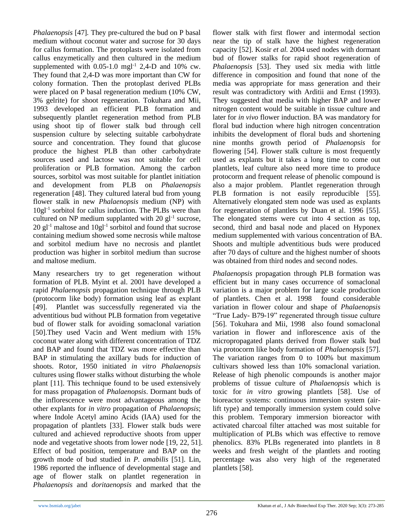*Phalaenopsis* [\[47\]](#page-11-13)*.* They pre-cultured the bud on P basal medium without coconut water and sucrose for 30 days for callus formation. The protoplasts were isolated from callus enzymetically and then cultured in the medium supplemented with  $0.05$ -1.0 mgl<sup>-1</sup> 2,4-D and 10% cw. They found that 2,4-D was more important than CW for colony formation. Then the protoplast derived PLBs were placed on P basal regeneration medium (10% CW, 3% gelrite) for shoot regeneration. Tokuhara and Mii, 1993 developed an efficient PLB formation and subsequently plantlet regeneration method from PLB using shoot tip of flower stalk bud through cell suspension culture by selecting suitable carbohydrate source and concentration. They found that glucose produce the highest PLB than other carbohydrate sources used and lactose was not suitable for cell proliferation or PLB formation. Among the carbon sources, sorbitol was most suitable for plantlet initiation and development from PLB on *Phalaenopsis*  regeneration [\[48\]](#page-11-14). They cultured lateral bud from young flower stalk in new *Phalaenopsis* medium (NP) with 10gl-1 sorbitol for callus induction. The PLBs were than cultured on NP medium supplanted with  $20$  gl<sup>-1</sup> sucrose,  $20$  gl<sup>-1</sup> maltose and  $10$ gl<sup>-1</sup> sorbitol and found that sucrose containing medium showed some necrosis while maltose and sorbitol medium have no necrosis and plantlet production was higher in sorbitol medium than sucrose and maltose medium.

Many researchers try to get regeneration without formation of PLB. Myint et al. 2001 have developed a rapid *Phalaenopsis* propagation technique through PLB (protocorm like body) formation using leaf as explant [\[49\]](#page-11-15). Plantlet was successfully regenerated via the adventitious bud without PLB formation from vegetative bud of flower stalk for avoiding somaclonal variation [\[50\]](#page-11-16).They used Vacin and Went medium with 15% coconut water along with different concentration of TDZ and BAP and found that TDZ was more effective than BAP in stimulating the axillary buds for induction of shoots. Rotor, 1950 initiated *in vitro Phalaenopsis* cultures using flower stalks without disturbing the whole plant [\[11\]](#page-10-14). This technique found to be used extensively for mass propagation of *Phalaenopsis*. Dormant buds of the inflorescence were most advantageous among the other explants for *in vitro* propagation of *Phalaenopsis*; where Indole Acetyl amino Acids (IAA) used for the propagation of plantlets [\[33\]](#page-11-17). Flower stalk buds were cultured and achieved reproductive shoots from upper node and vegetative shoots from lower node [\[19,](#page-10-20) [22,](#page-10-17) [51\]](#page-11-18). Effect of bud position, temperature and BAP on the growth mode of bud studied in *P. amabilis* [\[51\]](#page-11-18). Lin, 1986 reported the influence of developmental stage and age of flower stalk on plantlet regeneration in *Phalaenopsis* and *doritaenopsis* and marked that the

flower stalk with first flower and intermodal section near the tip of stalk have the highest regeneration capacity [\[52\]](#page-11-19). Kosir *et al.* 2004 used nodes with dormant bud of flower stalks for rapid shoot regeneration of *Phalaenopsis* [\[53\]](#page-11-20). They used six media with little difference in composition and found that none of the media was appropriate for mass generation and their result was contradictory with Arditii and Ernst (1993). They suggested that media with higher BAP and lower nitrogen content would be suitable in tissue culture and later for *in vivo* flower induction. BA was mandatory for floral bud induction where high nitrogen concentration inhibits the development of floral buds and shortening nine months growth period of *Phalaenopsis* for flowering [\[54\]](#page-11-21). Flower stalk culture is most frequently used as explants but it takes a long time to come out plantlets, leaf culture also need more time to produce protocorm and frequent release of phenolic compound is also a major problem. Plantlet regeneration through PLB formation is not easily reproducible [\[55\]](#page-11-22). Alternatively elongated stem node was used as explants for regeneration of plantlets by Duan et al. 1996 [\[55\]](#page-11-22). The elongated stems were cut into 4 section as top, second, third and basal node and placed on Hyponex medium supplemented with various concentration of BA. Shoots and multiple adventitious buds were produced after 70 days of culture and the highest number of shoots was obtained from third nodes and second nodes.

*Phalaenopsis* propagation through PLB formation was efficient but in many cases occurrence of somaclonal variation is a major problem for large scale production of plantlets. Chen et al. 1998 found considerable variation in flower colour and shape of *Phalaenopsis*  "True Lady- B79-19" regenerated through tissue culture [\[56\]](#page-11-23). Tokuhara and Mii, 1998 also found somaclonal variation in flower and inflorescence axis of the micropropagated plants derived from flower stalk bud via protocorm like body formation of *Phalaenopsis* [\[57\]](#page-11-24). The variation ranges from 0 to 100% but maximum cultivars showed less than 10% somaclonal variation. Release of high phenolic compounds is another major problems of tissue culture of *Phalaenopsis* which is toxic for *in vitro* growing plantlets [\[58\]](#page-11-25). Use of bioreactor systems: continuous immersion system (airlift type) and temporally immersion system could solve this problem. Temporary immersion bioreactor with activated charcoal filter attached was most suitable for multiplication of PLBs which was effective to remove phenolics. 83% PLBs regenerated into plantlets in 8 weeks and fresh weight of the plantlets and rooting percentage was also very high of the regenerated plantlets [\[58\]](#page-11-25).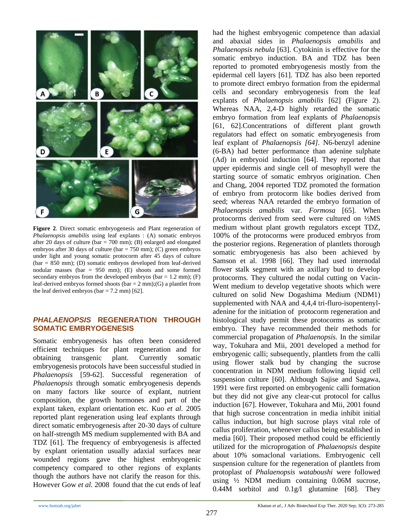

**Figure 2**. Direct somatic embryogenesis and Plant regeneration of *Phalaenopsis amabilis* using leaf explants : (A) somatic embryos after 20 days of culture (bar = 700 mm); (B) enlarged and elongated embryos after 30 days of culture (bar = 750 mm); (C) green embryos under light and young somatic protocorm after 45 days of culture (bar = 850 mm); (D) somatic embryos developed from leaf-derived nodular masses (bar = 950 mm); (E) shoots and some formed secondary embryos from the developed embryos (bar  $= 1.2$  mm); (F) leaf-derived embryos formed shoots (bar =  $2$  mm);(G) a plantlet from the leaf derived embryos (bar =  $7.2$  mm) [ $62$ ].

## *PHALAENOPSIS* **REGENERATION THROUGH SOMATIC EMBRYOGENESIS**

Somatic embryogenesis has often been considered efficient techniques for plant regeneration and for obtaining transgenic plant. Currently somatic embryogenesis protocols have been successful studied in *Phalaenopsis* [\[59-62\]](#page-11-26). Successful regeneration of *Phalaenopsis* through somatic embryogenesis depends on many factors like source of explant, nutrient composition, the growth hormones and part of the explant taken, explant orientation etc. Kuo *et al.* 2005 reported plant regeneration using leaf explants through direct somatic embryogenesis after 20-30 days of culture on half-strength MS medium supplemented with BA and TDZ [\[61\]](#page-11-27). The frequency of embryogenesis is affected by explant orientation usually adaxial surfaces near wounded regions gave the highest embryogenic competency compared to other regions of explants though the authors have not clarify the reason for this. However Gow *et al.* 2008 found that the cut ends of leaf had the highest embryogenic competence than adaxial and abaxial sides in *Phalaenopsis amabilis* and *Phalaenopsis nebula* [\[63\]](#page-11-28). Cytokinin is effective for the somatic embryo induction. BA and TDZ has been reported to promoted embryogenesis mostly from the epidermal cell layers [\[61\]](#page-11-27). TDZ has also been reported to promote direct embryo formation from the epidermal cells and secondary embryogenesis from the leaf explants of *Phalaenopsis amabilis* [\[62\]](#page-11-29) (Figure 2). Whereas NAA, 2,4-D highly retarded the somatic embryo formation from leaf explants of *Phalaenopsis*  [\[61,](#page-11-27) [62\]](#page-11-29).Concentrations of different plant growth regulators had effect on somatic embryogenesis from leaf explant of *Phalaenopsis [\[64\]](#page-11-30).* N6-benzyl adenine (6-BA) had better performance than adenine sulphate (Ad) in embryoid induction [\[64\]](#page-11-30). They reported that upper epidermis and single cell of mesophyll were the starting source of somatic embryos origination. Chen and Chang, 2004 reported TDZ promoted the formation of embryo from protocorm like bodies derived from seed; whereas NAA retarded the embryo formation of *Phalaenopsis amabilis* var. *Formosa* [\[65\]](#page-11-31)*.* When protocorms derived from seed were cultured on ½MS medium without plant growth regulators except TDZ, 100% of the protocorms were produced embryos from the posterior regions. Regeneration of plantlets thorough somatic embryogenesis has also been achieved by Samson et al. 1998 [\[66\]](#page-11-32). They had used internodal flower stalk segment with an axillary bud to develop protocorms. They cultured the nodal cutting on Vacin-Went medium to develop vegetative shoots which were cultured on solid New Dogashima Medium (NDM1) supplemented with NAA and 4,4,4 tri-fluro-isopentenyladenine for the initiation of protocorm regeneration and histological study permit these protocorms as somatic embryo. They have recommended their methods for commercial propagation of *Phalaenopsis.* In the similar way, Tokuhara and Mii, 2001 developed a method for embryogenic calli; subsequently, plantlets from the calli using flower stalk bud by changing the sucrose concentration in NDM medium following liquid cell suspension culture [\[60\]](#page-11-33). Although Sajise and Sagawa, 1991 were first reported on embryogenic calli formation but they did not give any clear-cut protocol for callus induction [\[67\]](#page-12-0). However, Tokuhara and Mii, 2001 found that high sucrose concentration in media inhibit initial callus induction, but high sucrose plays vital role of callus proliferation, whenever callus being established in media [\[60\]](#page-11-33). Their proposed method could be efficiently utilized for the microprogation of *Phalaenopsis* despite about 10% somaclonal variations. Embryogenic cell suspension culture for the regeneration of plantlets from protoplast of *Phalaenopsis wataboushi* were followed using ½ NDM medium containing 0.06M sucrose, 0.44M sorbitol and 0.1g/l glutamine [\[68\]](#page-12-1). They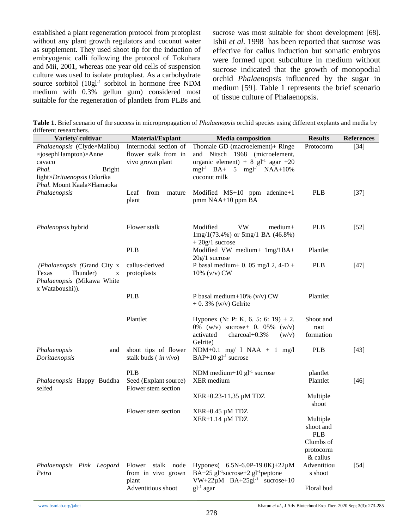established a plant regeneration protocol from protoplast without any plant growth regulators and coconut water as supplement. They used shoot tip for the induction of embryogenic calli following the protocol of Tokuhara and Mii, 2001, whereas one year old cells of suspension culture was used to isolate protoplast. As a carbohydrate source sorbitol (10gl<sup>-1</sup> sorbitol in hormone free NDM medium with 0.3% gellun gum) considered most suitable for the regeneration of plantlets from PLBs and

sucrose was most suitable for shoot development [\[68\]](#page-12-1). Ishii *et al.* 1998 has been reported that sucrose was effective for callus induction but somatic embryos were formed upon subculture in medium without sucrose indicated that the growth of monopodial orchid *Phalaenopsis* influenced by the sugar in medium [\[59\]](#page-11-26). Table 1 represents the brief scenario of tissue culture of Phalaenopsis.

**Table 1.** Brief scenario of the success in micropropagation of *Phalaenopsis* orchid species using different explants and media by different researchers.

| Variety/cultivar                                                                                                                                   | Material/Explant                                                          | <b>Media</b> composition                                                                                                                                                           | <b>Results</b>                                                            | <b>References</b> |
|----------------------------------------------------------------------------------------------------------------------------------------------------|---------------------------------------------------------------------------|------------------------------------------------------------------------------------------------------------------------------------------------------------------------------------|---------------------------------------------------------------------------|-------------------|
| Phalaenopsis (Clyde×Malibu)<br>×josephHampton)×Anne<br>cavaco<br>Phal.<br><b>Bright</b><br>light×Dritaenopsis Odorika<br>Phal. Mount Kaala×Hamaoka | Intermodal section of<br>flower stalk from in<br>vivo grown plant         | Thomale GD (macroelement)+ Ringe<br>and Nitsch 1968 (microelement,<br>organic element) + 8 $gl^{-1}$ agar +20<br>mgl <sup>-1</sup> BA+ 5 mgl <sup>-1</sup> NAA+10%<br>coconut milk | Protocorm                                                                 | $[34]$            |
| Phalaenopsis                                                                                                                                       | Leaf<br>from<br>mature<br>plant                                           | Modified $MS+10$ ppm adenine+1<br>pmm NAA+10 ppm BA                                                                                                                                | <b>PLB</b>                                                                | $[37]$            |
| Phalenopsis hybrid                                                                                                                                 | Flower stalk                                                              | <b>VW</b><br>Modified<br>$medium+$<br>$1mg/1(73.4%)$ or $5mg/1$ BA (46.8%)<br>$+20g/1$ sucrose                                                                                     | <b>PLB</b>                                                                | $[52]$            |
|                                                                                                                                                    | <b>PLB</b>                                                                | Modified VW medium+ 1mg/1BA+<br>$20g/1$ sucrose                                                                                                                                    | Plantlet                                                                  |                   |
| (Phalaenopsis (Grand City x<br>Thunder)<br>Texas<br>X<br>Phalaenopsis (Mikawa White<br>x Wataboushi)).                                             | callus-derived<br>protoplasts                                             | P basal medium + 0. 05 mg/l 2, 4-D +<br>10% $(v/v)$ CW                                                                                                                             | <b>PLB</b>                                                                | $[47]$            |
|                                                                                                                                                    | <b>PLB</b>                                                                | P basal medium+10% $(v/v)$ CW<br>$+0.3\%$ (w/v) Gelrite                                                                                                                            | Plantlet                                                                  |                   |
|                                                                                                                                                    | Plantlet                                                                  | Hyponex (N: P: K, 6. 5: 6: 19) + 2.<br>0% (w/v) sucrose + 0. 05% (w/v)<br>activated<br>charcoal+0.3%<br>(w/v)<br>Gelrite)                                                          | Shoot and<br>root<br>formation                                            |                   |
| Phalaenopsis<br>and<br>Doritaenopsis                                                                                                               | shoot tips of flower<br>stalk buds ( <i>in vivo</i> )                     | NDM+0.1 mg/ $1$ NAA + $1$ mg/l<br>$BAP+10$ gl <sup>-1</sup> sucrose                                                                                                                | <b>PLB</b>                                                                | $[43]$            |
| Phalaenopsis Happy Buddha<br>selfed                                                                                                                | <b>PLB</b><br>Seed (Explant source)<br>Flower stem section                | NDM medium+10 $gl^{-1}$ sucrose<br>XER medium                                                                                                                                      | plantlet<br>Plantlet                                                      | $[46]$            |
|                                                                                                                                                    |                                                                           | XER+0.23-11.35 μM TDZ                                                                                                                                                              | Multiple<br>shoot                                                         |                   |
|                                                                                                                                                    | Flower stem section                                                       | $XER+0.45 \mu M TDZ$<br>$XER+1.14 \mu M TDZ$                                                                                                                                       | Multiple<br>shoot and<br><b>PLB</b><br>Clumbs of<br>protocorm<br>& callus |                   |
| Phalaenopsis Pink Leopard<br>Petra                                                                                                                 | Flower<br>stalk node<br>from in vivo grown<br>plant<br>Adventitious shoot | Hyponex( 6.5N-6.0P-19.0K)+22µM<br>BA+25 gl <sup>-1</sup> sucrose+2 gl <sup>-1</sup> peptone<br>$VW+22\mu M$ BA+25gl <sup>-1</sup> sucrose+10<br>$gl-1 agar$                        | Adventitiou<br>s shoot<br>Floral bud                                      | $[54]$            |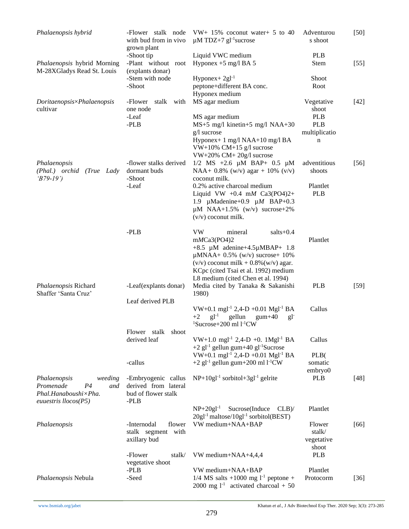| Phalaenopsis hybrid                                       | -Flower stalk node<br>with bud from in vivo<br>grown plant | $VW+ 15\%$ coconut water + 5 to 40<br>$\mu$ M TDZ+7 gl <sup>-1</sup> sucrose          | Adventurou<br>s shoot | $[50]$ |
|-----------------------------------------------------------|------------------------------------------------------------|---------------------------------------------------------------------------------------|-----------------------|--------|
|                                                           | -Shoot tip                                                 | Liquid VWC medium                                                                     | <b>PLB</b>            |        |
| Phalaenopsis hybrid Morning<br>M-28XGladys Read St. Louis | -Plant without root<br>(explants donar)                    | Hyponex $+5$ mg/l BA 5                                                                | <b>Stem</b>           | $[55]$ |
|                                                           | -Stem with node                                            | $Hyponex+2gl^{-1}$                                                                    | Shoot                 |        |
|                                                           | -Shoot                                                     | peptone+different BA conc.                                                            | Root                  |        |
|                                                           |                                                            | Hyponex medium                                                                        |                       |        |
| Doritaenopsis×Phalaenopsis<br>cultivar                    | stalk<br>-Flower<br>with<br>one node                       | MS agar medium                                                                        | Vegetative<br>shoot   | $[42]$ |
|                                                           | -Leaf                                                      | MS agar medium                                                                        | <b>PLB</b>            |        |
|                                                           | $-PLB$                                                     | MS+5 mg/l kinetin+5 mg/l NAA+30                                                       | <b>PLB</b>            |        |
|                                                           |                                                            | g/l sucrose                                                                           | multiplicatio         |        |
|                                                           |                                                            | Hyponex+ 1 mg/l NAA+10 mg/l BA<br>VW+10% CM+15 g/l sucrose<br>VW+20% CM+20g/l sucrose | n                     |        |
| Phalaenopsis                                              | -flower stalks derived                                     | $1/2$ MS +2.6 $\mu$ M BAP+ 0.5 $\mu$ M                                                | adventitious          | $[56]$ |
| (Phal.) orchid (True Lady<br>$(B79-19')$                  | dormant buds<br>-Shoot                                     | NAA+ 0.8% (w/v) agar + 10% (v/v)<br>coconut milk.                                     | shoots                |        |
|                                                           | -Leaf                                                      | 0.2% active charcoal medium                                                           | Plantlet              |        |
|                                                           |                                                            | Liquid VW +0.4 mM $Ca3(PO4)2+$                                                        | <b>PLB</b>            |        |
|                                                           |                                                            | 1.9 $\mu$ Madenine+0.9 $\mu$ M BAP+0.3                                                |                       |        |
|                                                           |                                                            | $\mu$ M NAA+1.5% (w/v) sucrose+2%                                                     |                       |        |
|                                                           |                                                            | $(v/v)$ coconut milk.                                                                 |                       |        |
|                                                           |                                                            |                                                                                       |                       |        |
|                                                           | $-PLB$                                                     | VW<br>mineral<br>$salts+0.4$                                                          |                       |        |
|                                                           |                                                            | mMCa3(PO4)2                                                                           | Plantlet              |        |
|                                                           |                                                            | +8.5 µM adenine+4.5µMBAP+ 1.8                                                         |                       |        |
|                                                           |                                                            | $\mu$ MNAA+ 0.5% (w/v) sucrose+ 10%                                                   |                       |        |
|                                                           |                                                            | $(v/v)$ coconut milk + 0.8% $(w/v)$ agar.                                             |                       |        |
|                                                           |                                                            | KCpc (cited Tsai et al. 1992) medium                                                  |                       |        |
|                                                           |                                                            | L8 medium (cited Chen et al. 1994)                                                    |                       |        |
| Phalaenopsis Richard                                      | -Leaf(explants donar)                                      | Media cited by Tanaka & Sakanishi                                                     | <b>PLB</b>            | $[59]$ |
| Shaffer 'Santa Cruz'                                      |                                                            | 1980)                                                                                 |                       |        |
|                                                           | Leaf derived PLB                                           | VW+0.1 mgl <sup>-1</sup> 2,4-D +0.01 Mgl <sup>-1</sup> BA                             | Callus                |        |
|                                                           |                                                            | $gl^{-1}$<br>gellun<br>$+2$<br>$g$ um $+40$<br>$gl-$                                  |                       |        |
|                                                           |                                                            | $1$ Sucrose+200 ml $1$ <sup>-1</sup> CW                                               |                       |        |
|                                                           | Flower stalk<br>shoot                                      |                                                                                       |                       |        |
|                                                           | derived leaf                                               | VW+1.0 mgl <sup>-1</sup> 2,4-D +0. 1Mgl <sup>-1</sup> BA                              | Callus                |        |
|                                                           |                                                            | $+2$ gl <sup>-1</sup> gellun gum $+40$ gl <sup>-1</sup> Sucrose                       |                       |        |
|                                                           |                                                            | VW+0.1 mgl <sup>-1</sup> 2,4-D +0.01 Mgl <sup>-1</sup> BA                             | PLB(                  |        |
|                                                           | -callus                                                    | $+2$ gl <sup>-1</sup> gellun gum $+200$ ml l <sup>-1</sup> CW                         | somatic               |        |
|                                                           |                                                            |                                                                                       | embryo0               |        |
| Phalaenopsis<br>weeding                                   | -Embryogenic callus                                        | $NP+10gl^{-1}$ sorbitol+3gl <sup>-1</sup> gelrite                                     | <b>PLB</b>            | $[48]$ |
| Promenade<br>P <sub>4</sub><br>and                        | derived from lateral                                       |                                                                                       |                       |        |
| Phal.Hanaboushi×Pha.                                      | bud of flower stalk                                        |                                                                                       |                       |        |
| euuestris $llocos(P5)$                                    | -PLB                                                       |                                                                                       |                       |        |
|                                                           |                                                            | $NP+20gl^{-1}$<br>Sucrose(Induce CLB)/                                                | Plantlet              |        |
|                                                           |                                                            | $20gl^{-1}$ maltose/ $10gl^{-1}$ sorbitol(BEST)                                       |                       |        |
| Phalaenopsis                                              | -Internodal<br>flower                                      | VW medium+NAA+BAP                                                                     | Flower                | $[66]$ |
|                                                           | with<br>stalk segment                                      |                                                                                       | stalk/                |        |
|                                                           | axillary bud                                               |                                                                                       | vegetative            |        |
|                                                           |                                                            |                                                                                       | shoot                 |        |
|                                                           | -Flower<br>stalk/                                          | VW medium+NAA+4,4,4                                                                   | <b>PLB</b>            |        |
|                                                           | vegetative shoot<br>-PLB                                   | VW medium+NAA+BAP                                                                     | Plantlet              |        |
| Phalaenopsis Nebula                                       | -Seed                                                      | $1/4$ MS salts +1000 mg $1^{-1}$ peptone +                                            | Protocorm             | $[36]$ |
|                                                           |                                                            | 2000 mg $1^{-1}$ activated charcoal + 50                                              |                       |        |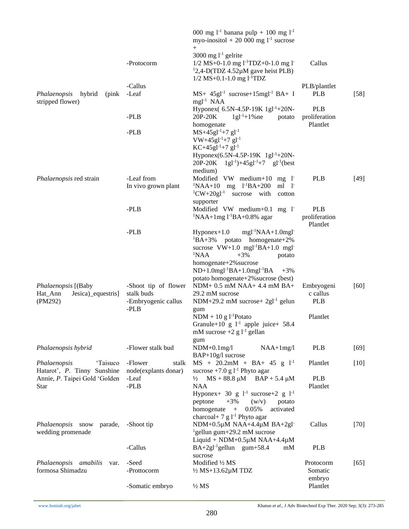|                                                         |                                                           | 000 mg $1^{-1}$ banana pulp + 100 mg $1^{-1}$<br>myo-inositol + 20 000 mg $1-1$ sucrose<br>$+$                                                                                               |                                         |        |
|---------------------------------------------------------|-----------------------------------------------------------|----------------------------------------------------------------------------------------------------------------------------------------------------------------------------------------------|-----------------------------------------|--------|
|                                                         | -Protocorm                                                | 3000 mg $l^{-1}$ gelrite<br>$1/2$ MS+0-1.0 mg l <sup>-1</sup> TDZ+0-1.0 mg l <sup>-1</sup><br><sup>1</sup> 2,4-D(TDZ 4.52 $\mu$ M gave heist PLB)<br>$1/2$ MS+0.1-1.0 mg l <sup>-1</sup> TDZ | Callus                                  |        |
|                                                         | -Callus                                                   |                                                                                                                                                                                              | PLB/plantlet                            |        |
| Phalaenopsis<br>hybrid<br>(pink)<br>stripped flower)    | -Leaf                                                     | MS+ 45gl <sup>-1</sup> sucrose+15mgl <sup>-1</sup> BA+ I<br>$mgl-1 NAA$                                                                                                                      | <b>PLB</b>                              | $[58]$ |
|                                                         | $-PLB$                                                    | Hyponex( 6.5N-4.5P-19K 1gl <sup>-1</sup> +20N-<br>$1gl^{-1}+1\%$ ne<br>20P-20K<br>potato<br>homogenate                                                                                       | <b>PLB</b><br>proliferation<br>Plantlet |        |
|                                                         | $-PLB$                                                    | $MS+45gl^{-1}+7 gl^{-1}$<br>VW+45gl <sup>-1</sup> +7 gl <sup>-1</sup><br>$KC+45gl-1+7 gl-1$                                                                                                  |                                         |        |
|                                                         |                                                           | Hyponex(6.5N-4.5P-19K 1gl <sup>-1</sup> +20N-<br>$20P-20K$ 1gl <sup>-1</sup> )+45gl <sup>-1</sup> +7 gl <sup>-1</sup> (best<br>medium)                                                       |                                         |        |
| Phalaenopsis red strain                                 | -Leaf from<br>In vivo grown plant                         | Modified VW medium+10 mg l <sup>-</sup><br>$1 NAA+10$ mg $1 -1 BA+200$<br>$ml \quad l$<br>$^{1}$ CW+20gl <sup>-1</sup><br>sucrose with<br>cotton                                             | <b>PLB</b>                              | $[49]$ |
|                                                         | $-PLB$                                                    | supporter<br>Modified $VW$ medium+0.1 mg 1<br>$\frac{1}{2}NAA + 1mg1^{-1}BA + 0.8\%$ agar                                                                                                    | <b>PLB</b><br>proliferation<br>Plantlet |        |
|                                                         | $-PLB$                                                    | $Hyponex+1.0$<br>$mgl^{-1}NAA+1.0mgl$<br>${}^{1}BA+3\%$<br>potato homogenate+2%<br>sucrose $VW+1.0$ mgl <sup>-1</sup> BA+1.0 mgl <sup>-</sup>                                                |                                         |        |
|                                                         |                                                           | <sup>1</sup> NAA<br>$+3%$<br>potato<br>homogenate+2% sucrose<br>$ND+1.0$ mgl <sup>-1</sup> BA+1.0mgl <sup>-1</sup> BA<br>$+3%$                                                               |                                         |        |
| Phalaenopsis [(Baby<br>Jesica)_equestris]<br>Hat_Ann    | -Shoot tip of flower<br>stalk buds<br>-Embryogenic callus | potato homogenate+2% sucrose (best)<br>NDM+ 0.5 mM NAA+ 4.4 mM BA+<br>29.2 mM sucrose<br>NDM+29.2 mM sucrose+ $2gl^{-1}$ gelun                                                               | Embryogeni<br>c callus<br><b>PLB</b>    | [60]   |
| (PM292)                                                 | -PLB                                                      | gum<br>$NDM + 10 g l^{-1}$ Potato<br>Granule+10 g $1^{-1}$ apple juice+ 58.4<br>mM sucrose $+2$ g $l^{-1}$ gellan                                                                            | Plantlet                                |        |
| Phalaenopsis hybrid                                     | -Flower stalk bud                                         | gum<br>$NDM+0.1mg/l$<br>$NAA+1mg/1$                                                                                                                                                          | <b>PLB</b>                              | $[69]$ |
| 'Taisuco<br>Phalaenopsis<br>Hatarot', P. Tinny Sunshine | -Flower<br>stalk<br>node(explants donar)                  | BAP+10g/l sucrose<br>$MS + 20.2mM + BA + 45 g l^{-1}$<br>sucrose $+7.0$ g $1^{-1}$ Phyto agar                                                                                                | Plantlet                                | $[10]$ |
| Annie, P. Taipei Gold 'Golden<br><b>Star</b>            | -Leaf<br>-PLB                                             | $MS + 88.8 \mu M$ BAP + 5.4 $\mu$ M<br>$\frac{1}{2}$<br><b>NAA</b><br>Hyponex+ 30 g $1^{-1}$ sucrose+2 g $1^{-1}$                                                                            | <b>PLB</b><br>Plantlet                  |        |
|                                                         |                                                           | $+3\%$<br>peptone<br>(w/v)<br>potato<br>homogenate<br>$\, +$<br>0.05%<br>activated<br>charcoal+ 7 g $l^{-1}$ Phyto agar                                                                      |                                         |        |
| Phalaenopsis snow<br>parade,<br>wedding promenade       | -Shoot tip                                                | NDM+0.5µM NAA+4.4µM BA+2gl <sup>-</sup><br><sup>1</sup> gellun gum $+29.2$ mM sucrose<br>Liquid + $NDM+0.5\mu M NAA+4.4\mu M$                                                                | Callus                                  | $[70]$ |
|                                                         | -Callus                                                   | $BA+2gl^{-1}gellun$ gum+58.4<br>mM<br>sucrose                                                                                                                                                | <b>PLB</b>                              |        |
| Phalaenopsis amabilis<br>var.                           | -Seed                                                     | Modified 1/2 MS                                                                                                                                                                              | Protocorm                               | $[65]$ |
| formosa Shimadzu                                        | -Prottocorm                                               | $\frac{1}{2}$ MS+13.62 $\mu$ M TDZ                                                                                                                                                           | Somatic                                 |        |
|                                                         | -Somatic embryo                                           | $1/2$ MS                                                                                                                                                                                     | embryo<br>Plantlet                      |        |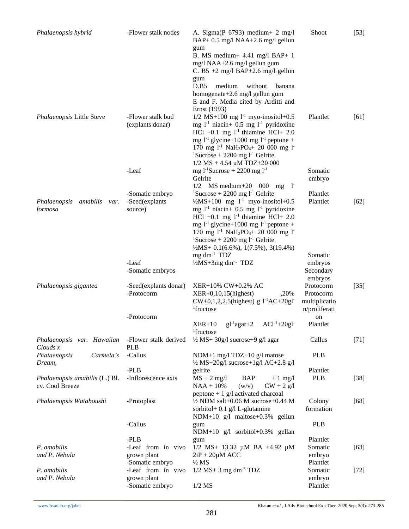| Phalaenopsis hybrid                                                     | -Flower stalk nodes                            | A. Sigma(P $6793$ ) medium + 2 mg/l<br>BAP+ 0.5 mg/l NAA+2.6 mg/l gellun                                                                                                                                                                                                 | Shoot                                                    | $[53]$ |
|-------------------------------------------------------------------------|------------------------------------------------|--------------------------------------------------------------------------------------------------------------------------------------------------------------------------------------------------------------------------------------------------------------------------|----------------------------------------------------------|--------|
|                                                                         |                                                | gum<br>B. MS medium + $4.41$ mg/l BAP + 1<br>mg/l NAA+2.6 mg/l gellun gum<br>C. B5 +2 mg/l BAP+2.6 mg/l gellun                                                                                                                                                           |                                                          |        |
|                                                                         |                                                | gum<br>D.B5<br>medium<br>without<br>banana                                                                                                                                                                                                                               |                                                          |        |
|                                                                         |                                                | homogenate+2.6 mg/l gellun gum<br>E and F. Media cited by Arditti and<br>Ernst (1993)                                                                                                                                                                                    |                                                          |        |
| Phalaenopsis Little Steve                                               | -Flower stalk bud<br>(explants donar)          | $1/2$ MS+100 mg $1^{-1}$ myo-inositol+0.5<br>mg $l-1$ niacin+ 0.5 mg $l-1$ pyridoxine<br>HCl +0.1 mg $1^{-1}$ thiamine HCl + 2.0<br>mg $l^{-1}$ glycine+1000 mg $l^{-1}$ peptone +<br>170 mg 1 <sup>-1</sup> NaH <sub>2</sub> PO <sub>4</sub> + 20 000 mg 1 <sup>-</sup> | Plantlet                                                 | [61]   |
|                                                                         |                                                | <sup>1</sup> Sucrose + 2200 mg $l-1$ Gelrite<br>$1/2$ MS + 4.54 µM TDZ+20 000                                                                                                                                                                                            |                                                          |        |
|                                                                         | -Leaf                                          | mg $1^{-1}$ Sucrose + 2200 mg $1^{-1}$<br>Gelrite<br>$1/2$ MS medium $+20$ 000 mg                                                                                                                                                                                        | Somatic<br>embryo                                        |        |
| Phalaenopsis<br>amabilis<br>var.<br>formosa                             | -Somatic embryo<br>-Seed(explants<br>source)   | - 15<br><sup>1</sup> Sucrose + 2200 mg $1^{-1}$ Gelrite<br>$\frac{1}{2}MS + 100$ mg $1^{-1}$ myo-inositol+0.5<br>mg $l-1$ niacin+ 0.5 mg $l-1$ pyridoxine                                                                                                                | Plantlet<br>Plantlet                                     | $[62]$ |
|                                                                         |                                                | HCl +0.1 mg $1^{-1}$ thiamine HCl + 2.0<br>mg $l^{-1}$ glycine+1000 mg $l^{-1}$ peptone +<br>170 mg $1^{-1}$ NaH <sub>2</sub> PO <sub>4</sub> + 20 000 mg 1 <sup>-</sup><br><sup>1</sup> Sucrose + 2200 mg $l-1$ Gelrite                                                 |                                                          |        |
|                                                                         |                                                | $\frac{1}{2}MS + 0.1(6.6\%)$ , 1(7.5%), 3(19.4%)                                                                                                                                                                                                                         |                                                          |        |
|                                                                         | -Leaf<br>-Somatic embryos                      | $mg \, dm^{-1}$ TDZ<br>1/2MS+3mg dm <sup>-1</sup> TDZ                                                                                                                                                                                                                    | Somatic<br>embryos<br>Secondary<br>embryos               |        |
| Phalaenopsis gigantea                                                   | -Seed(explants donar)<br>-Protocorm            | XER+10% CW+0.2% AC<br>$XER+0, 10, 15$ (highest)<br>,20%<br>$CW+0,1,2,2.5$ (highest) g $1^{-1}AC+20gl$<br><sup>1</sup> fructose                                                                                                                                           | Protocorm<br>Protocorm<br>multiplicatio<br>n/proliferati | $[35]$ |
|                                                                         | -Protocorm                                     | $gl^{-1}agar+2$<br>$AC1^{-1}+20gl$<br>$XER+10$                                                                                                                                                                                                                           | on<br>Plantlet                                           |        |
|                                                                         |                                                | <sup>1</sup> fructose                                                                                                                                                                                                                                                    |                                                          |        |
| Phalaenopsis var. Hawaiian<br>$Clouds$ $x$<br>Phalaenopsis<br>Carmela's | -Flower stalk derived<br><b>PLB</b><br>-Callus | $\frac{1}{2}$ MS+ 30g/l sucrose+9 g/l agar<br>NDM+1 mg/l TDZ+10 g/l matose                                                                                                                                                                                               | Callus<br><b>PLB</b>                                     | $[71]$ |
| Dream,                                                                  |                                                | $\frac{1}{2}$ MS+20g/l sucrose+1g/l AC+2.8 g/l                                                                                                                                                                                                                           |                                                          |        |
| Phalaenopsis amabilis (L.) Bl.<br>cv. Cool Breeze                       | $-PLB$<br>-Inflorescence axis                  | gelrite<br>$MS + 2$ mg/l<br>BAP<br>$+1$ mg/l<br>$NAA + 10%$<br>$CW + 2 g/l$<br>(w/v)                                                                                                                                                                                     | Plantlet<br><b>PLB</b>                                   | $[38]$ |
| Phalaenopsis Wataboushi                                                 | -Protoplast                                    | peptone $+ 1$ g/l activated charcoal<br>$\frac{1}{2}$ NDM salt+0.06 M sucrose+0.44 M<br>sorbitol+ 0.1 g/l L-glutamine                                                                                                                                                    | Colony<br>formation                                      | $[68]$ |
|                                                                         | -Callus                                        | NDM+10 g/l maltose+0.3% gellun<br>gum<br>NDM+10 g/l sorbitol+0.3% gellan                                                                                                                                                                                                 | <b>PLB</b>                                               |        |
| P. amabilis<br>and P. Nebula                                            | -PLB<br>-Leaf from in vivo<br>grown plant      | gum<br>$1/2$ MS+ 13.32 µM BA +4.92 µM<br>$2iP + 20\mu M$ ACC                                                                                                                                                                                                             | Plantlet<br>Somatic<br>embryo                            | $[63]$ |
| P. amabilis                                                             | -Somatic embryo<br>-Leaf from in vivo          | $\frac{1}{2} MS$<br>$1/2$ MS+ 3 mg dm <sup>-3</sup> TDZ                                                                                                                                                                                                                  | Plantlet<br>Somatic                                      | $[72]$ |
| and P. Nebula                                                           | grown plant<br>-Somatic embryo                 | $1/2$ MS                                                                                                                                                                                                                                                                 | embryo<br>Plantlet                                       |        |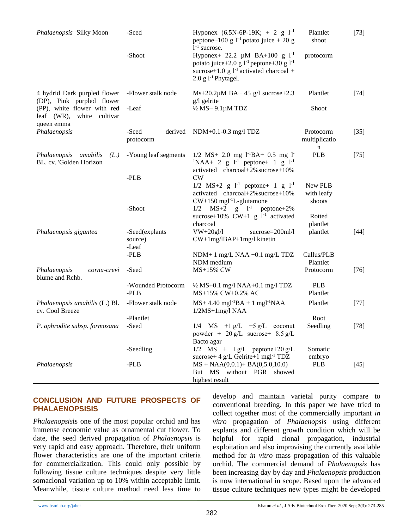| Phalaenopsis 'Silky Moon                                               | -Seed                              | Hyponex (6.5N-6P-19K; + 2 g $1^{-1}$<br>peptone+100 g $l^{-1}$ potato juice + 20 g<br>$1^{-1}$ sucrose.                                                                          | Plantlet<br>shoot               | $[73]$ |
|------------------------------------------------------------------------|------------------------------------|----------------------------------------------------------------------------------------------------------------------------------------------------------------------------------|---------------------------------|--------|
|                                                                        | -Shoot                             | Hyponex+ 22.2 $\mu$ M BA+100 g 1 <sup>-1</sup><br>potato juice+2.0 g $l^{-1}$ peptone+30 g $l^{-1}$<br>sucrose+1.0 g $l^{-1}$ activated charcoal +<br>$2.0$ g $1^{-1}$ Phytagel. | protocorm                       |        |
| 4 hydrid Dark purpled flower<br>(DP), Pink purpled flower              | -Flower stalk node                 | $Ms+20.2\mu M BA+45 g/l$ sucrose+2.3<br>$g/l$ gelrite                                                                                                                            | Plantlet                        | $[74]$ |
| (PP), white flower with red<br>leaf (WR), white cultivar<br>queen emma | -Leaf                              | $\frac{1}{2} MS + 9.1 \mu M T DZ$                                                                                                                                                | Shoot                           |        |
| Phalaenopsis                                                           | -Seed<br>derived<br>protocorm      | $NDM+0.1-0.3$ mg/l TDZ                                                                                                                                                           | Protocorm<br>multiplicatio<br>n | $[35]$ |
| Phalaenopsis amabilis<br>(L.)<br>BL. cv. 'Golden Horizon               | -Young leaf segments               | $1/2$ MS+ 2.0 mg $1^{-1}BA+ 0.5$ mg 1<br>${}^{1}NAA+ 2 g I^{-1}$ peptone + 1 g $I^{-1}$<br>activated charcoal+2% sucrose+10%                                                     | <b>PLB</b>                      | $[75]$ |
|                                                                        | $-PLB$                             | CW<br>$1/2$ MS+2 g $1^{-1}$ peptone+ 1 g $1^{-1}$<br>activated charcoal+2% sucrose+10%<br>$CW+150$ mgl <sup>-1</sup> L-glutamone                                                 | New PLB<br>with leafy<br>shoots |        |
|                                                                        | -Shoot                             | $1/2$ MS+2 g $1^{-1}$ peptone+2%<br>sucrose+10% $CW+1$ g $1^{-1}$ activated<br>charcoal                                                                                          | Rotted<br>plantlet              |        |
| Phalaenopsis gigantea                                                  | -Seed(explants<br>source)<br>-Leaf | $VW+20gl/1$<br>sucrose=200ml/l<br>$CW+1mg/IBAP+1mg/l$ kinetin                                                                                                                    | plantlet                        | $[44]$ |
|                                                                        | -PLB                               | NDM+ 1 mg/L NAA +0.1 mg/L TDZ<br>NDM medium                                                                                                                                      | Callus/PLB<br>Plantlet          |        |
| Phalaenopsis<br>cornu-crevi<br>blume and Rchb.                         | -Seed                              | <b>MS+15% CW</b>                                                                                                                                                                 | Protocorm                       | $[76]$ |
|                                                                        | -Wounded Protocorm<br>$-PLB$       | $\frac{1}{2}$ MS+0.1 mg/l NAA+0.1 mg/l TDZ<br>MS+15% CW+0.2% AC                                                                                                                  | <b>PLB</b><br>Plantlet          |        |
| Phalaenopsis amabilis (L.) Bl.<br>cv. Cool Breeze                      | -Flower stalk node                 | $MS+4.40$ mgl <sup>-1</sup> BA + 1 mgl <sup>-1</sup> NAA<br>$1/2MS+1mg/1NAA$                                                                                                     | Plantlet                        | $[77]$ |
|                                                                        | -Plantlet                          |                                                                                                                                                                                  | Root                            |        |
| P. aphrodite subsp. formosana                                          | -Seed                              | $1/4$ MS $+1$ g/L $+5$ g/L coconut<br>powder + $20 g/L$ sucrose + $8.5 g/L$                                                                                                      | Seedling                        | $[78]$ |
|                                                                        | -Seedling                          | Bacto agar<br>$1/2$ MS + $1 g/L$ peptone+20 g/L<br>sucrose+ 4 g/L Gelrite+1 mgl <sup>-1</sup> TDZ                                                                                | Somatic<br>embryo               |        |
| Phalaenopsis                                                           | -PLB                               | $MS + NAA(0,0.1) + BA(0,5.0,10.0)$<br>But MS without PGR showed<br>highest result                                                                                                | <b>PLB</b>                      | $[45]$ |

# **CONCLUSION AND FUTURE PROSPECTS OF PHALAENOPSISIS**

*Phalaenopsis*is one of the most popular orchid and has immense economic value as ornamental cut flower. To date, the seed derived propagation of *Phalaenopsis* is very rapid and easy approach. Therefore, their uniform flower characteristics are one of the important criteria for commercialization. This could only possible by following tissue culture techniques despite very little somaclonal variation up to 10% within acceptable limit. Meanwhile, tissue culture method need less time to

develop and maintain varietal purity compare to conventional breeding. In this paper we have tried to collect together most of the commercially important *in vitro* propagation of *Phalaenopsis* using different explants and different growth condition which will be helpful for rapid clonal propagation, industrial exploitation and also improvising the currently available method for *in vitro* mass propagation of this valuable orchid. The commercial demand of *Phalaenopsis* has been increasing day by day and *Phalaenopsis* production is now international in scope. Based upon the advanced tissue culture techniques new types might be developed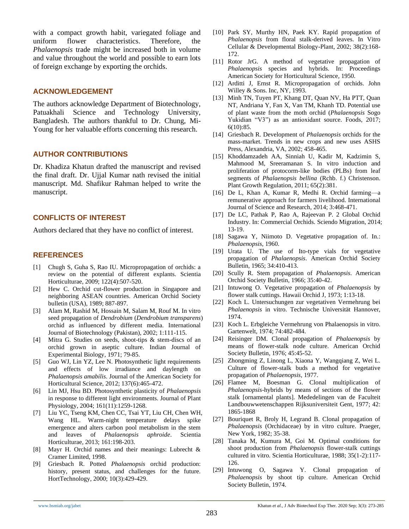with a compact growth habit, variegated foliage and uniform flower characteristics. Therefore, the *Phalaenopsis* trade might be increased both in volume and value throughout the world and possible to earn lots of foreign exchange by exporting the orchids.

#### **ACKNOWLEDGEMENT**

The authors acknowledge Department of Biotechnology, Patuakhali Science and Technology University, Bangladesh. The authors thankful to Dr. Chung, Mi-Young for her valuable efforts concerning this research.

# **AUTHOR CONTRIBUTIONS**

Dr. Khadiza Khatun drafted the manuscript and revised the final draft. Dr. Ujjal Kumar nath revised the initial manuscript. Md. Shafikur Rahman helped to write the manuscript.

#### **CONFLICTS OF INTEREST**

Authors declared that they have no conflict of interest.

## **REFERENCES**

- <span id="page-10-0"></span>[1] Chugh S, Guha S, Rao IU. Micropropagation of orchids: a review on the potential of different explants. Scientia Horticulturae*,* 2009; 122(4):507-520.
- <span id="page-10-1"></span>[2] Hew C. Orchid cut-flower production in Singapore and neighboring ASEAN countries. American Orchid Society bulletin (USA)*,* 1989; 887-897.
- <span id="page-10-2"></span>[3] Alam M, Rashid M, Hossain M, Salam M, Rouf M. In vitro seed propagation of *Dendrobium* (*Dendrobium transparens*) orchid as influenced by different media. International Journal of Biotechnology (Pakistan), 2002; 1:111-115.
- <span id="page-10-3"></span>[4] Mitra G. Studies on seeds, shoot-tips & stem-discs of an orchid grown in aseptic culture. Indian Journal of Experimental Biology*,* 1971; 79-85.
- <span id="page-10-4"></span>[5] Guo WJ, Lin YZ, Lee N. Photosynthetic light requirements and effects of low irradiance and daylength on *Phalaenopsis amabilis*. Journal of the American Society for Horticultural Science, 2012; 137(6):465-472.
- [6] Lin MJ, Hsu BD. Photosynthetic plasticity of *Phalaenopsis* in response to different light environments. Journal of Plant Physiology, 2004; 161(11):1259-1268.
- [7] Liu YC, Tseng KM, Chen CC, Tsai YT, Liu CH, Chen WH, Wang HL. Warm-night temperature delays spike emergence and alters carbon pool metabolism in the stem and leaves of *Phalaenopsis aphroide*. Scientia Horticulturae*,* 2013; 161:198-203.
- <span id="page-10-5"></span>[8] Mayr H. Orchid names and their meanings: Lubrecht & Cramer Limited, 1998.
- <span id="page-10-6"></span>[9] Griesbach R. Potted *Phalaenopsis* orchid production: history, present status, and challenges for the future. HortTechnology*,* 2000; 10(3):429-429.
- <span id="page-10-7"></span>[10] Park SY, Murthy HN, Paek KY. Rapid propagation of *Phalaenopsis* from floral stalk-derived leaves. In Vitro Cellular & Developmental Biology-Plant, 2002; 38(2):168- 172.
- <span id="page-10-14"></span>[11] Rotor JrG. A method of vegetative propagation of *Phalaenopsis* species and hybrids. In: Proceedings American Society for Horticultural Science*,* 1950.
- <span id="page-10-8"></span>[12] Arditti J, Ernst R. Micropropagation of orchids. John Willey & Sons. Inc, NY, 1993.
- <span id="page-10-9"></span>[13] Minh TN, Tuyen PT, Khang DT, Quan NV, Ha PTT, Quan NT, Andriana Y, Fan X, Van TM, Khanh TD. Potential use of plant waste from the moth orchid (*Phalaenopsis* Sogo Yukidian "V3") as an antioxidant source. Foods, 2017; 6(10):85.
- <span id="page-10-10"></span>[14] Griesbach R. Development of *Phalaenopsis* orchids for the mass-market. Trends in new crops and new uses ASHS Press, Alexandria, VA*,* 2002; 458-465.
- <span id="page-10-11"></span>[15] Khoddamzadeh AA, Sinniah U, Kadir M, Kadzimin S, Mahmood M, Sreeramanan S. In vitro induction and proliferation of protocorm-like bodies (PLBs) from leaf segments of *Phalaenopsis bellina* (Rchb. f.) Christenson. Plant Growth Regulation*,* 2011; 65(2):381.
- <span id="page-10-12"></span>[16] De L, Khan A, Kumar R, Medhi R. Orchid farming—a remunerative approach for farmers livelihood. International Journal of Science and Research*,* 2014; 3:468-471.
- <span id="page-10-13"></span>[17] De LC, Pathak P, Rao A, Rajeevan P. 2 Global Orchid Industry. In: Commercial Orchids*.* Sciendo Migration, 2014; 13-19.
- <span id="page-10-15"></span>[18] Sagawa Y, Niimoto D. Vegetative propagation of. In*.*: *Phalaenopsis*, 1960.
- <span id="page-10-20"></span>[19] Urata U. The use of Ito-type vials for vegetative propagation of *Phalaenopsis*. American Orchid Society Bulletin*,* 1965; 34:410-413.
- [20] Scully R. Stem propagation of *Phalaenopsis*. American Orchid Society Bulletin*,* 1966; 35:40-42.
- [21] Intuwong O. Vegetative propagation of *Phalaenopsis* by flower stalk cuttings. Hawaii Orchid J*,* 1973; 1:13-18.
- <span id="page-10-17"></span>[22] Koch L. Untersuchungen zur vegetativen Vermehrung bei *Phalaenopsis* in vitro. Technische Universität Hannover, 1974.
- <span id="page-10-18"></span>[23] Koch L. Erbgleiche Vermehrung von Phalaenopsis in vitro. Gartenwelt, 1974; 74:482-484.
- [24] Reisinger DM. Clonal propagation of *Phalaenopsis* by means of flower-stalk node culture. American Orchid Society Bulletin*,* 1976; 45:45-52.
- [25] Zhongming Z, Linong L, Xiaona Y, Wangqiang Z, Wei L. Culture of flower-stalk buds a method for vegetative propagation of *Phalaenopsis*, 1977.
- [26] Flamee M, Boesman G. Clonal multiplication of *Phalaenopsis*-hybrids by means of sections of the flower stalk [ornamental plants]. Mededelingen van de Faculteit Landbouwwetenschappen Rijksuniversiteit Gent, 1977; 42: 1865-1868
- [27] Bouriquet R, Broly H, Legrand B. Clonal propagation of *Phalaenopsis* (Orchidaceae) by in vitro culture. Praeger, New York, 1982; 35-38.
- <span id="page-10-16"></span>[28] Tanaka M, Kumura M, Goi M. Optimal conditions for shoot production from *Phalaenopsis* flower-stalk cuttings cultured in vitro. Scientia Horticulturae, 1988; 35(1-2):117- 126.
- <span id="page-10-19"></span>[29] Intuwong O, Sagawa Y. Clonal propagation of *Phalaenopsis* by shoot tip culture. American Orchid Society Bulletin*,* 1974.

283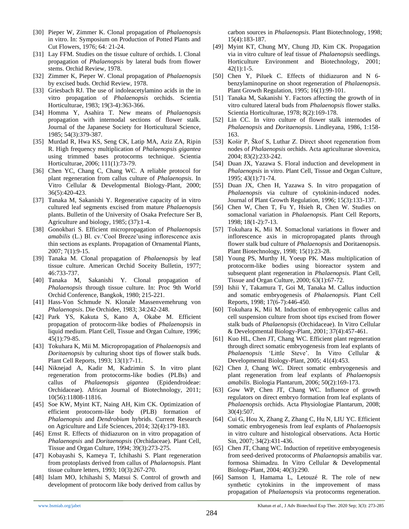- [30] Pieper W, Zimmer K. Clonal propagation of *Phalaenopsis* in vitro. In: Symposium on Production of Potted Plants and Cut Flowers, 1976; 64*:* 21-24.
- [31] Lay FFM. Studies on the tissue culture of orchids. I. Clonal propagation of *Phalaenopsis* by lateral buds from flower stems. Orchid Review*,* 1978.
- [32] Zimmer K, Pieper W. Clonal propagation of *Phalaenopsis* by excised buds. Orchid Review, 1978.
- <span id="page-11-17"></span>[33] Griesbach RJ. The use of indoleacetylamino acids in the in vitro propagation of *Phalaenopsis* orchids. Scientia Horticulturae, 1983; 19(3-4):363-366.
- <span id="page-11-12"></span>[34] Homma Y, Asahira T. New means of *Phalaenopsis* propagation with internodal sections of flower stalk. Journal of the Japanese Society for Horticultural Science, 1985; 54(3):379-387.
- <span id="page-11-0"></span>[35] Murdad R, Hwa KS, Seng CK, Latip MA, Aziz ZA, Ripin R. High frequency multiplication of *Phalaenopsis gigantea* using trimmed bases protocorms technique. Scientia Horticulturae, 2006; 111(1):73-79.
- <span id="page-11-1"></span>[36] Chen YC, Chang C, Chang WC. A reliable protocol for plant regeneration from callus culture of *Phalaenopsis*. In Vitro Cellular & Developmental Biology-Plant*,* 2000; 36(5):420-423.
- <span id="page-11-2"></span>[37] Tanaka M, Sakanishi Y. Regenerative capacity of in vitro cultured leaf segments excised from mature *Phalaenopsis* plants. Bulletin of the University of Osaka Prefecture Ser B, Agriculture and biology, 1985; (37):1-4.
- <span id="page-11-3"></span>[38] Gonokbari S. Efficient micropropagation of *Phalaenopsis amabilis* (L.) Bl. cv.'Cool Breeze'using inflorescence axis thin sections as explants. Propagation of Ornamental Plants, 2007; 7(1):9-15.
- <span id="page-11-4"></span>[39] Tanaka M. Clonal propagation of *Phalaenopsis* by leaf tissue culture. American Orchid Soceity Bulletin*,* 1977; 46:733-737.
- <span id="page-11-5"></span>[40] Tanaka M, Sakanishi Y. Clonal propagation of *Phalaenopsis* through tissue culture. In: Proc 9th World Orchid Conference, Bangkok*,* 1980; 215-221.
- <span id="page-11-6"></span>[41] Hass-Von Schmude N. Klonale Massenvemehrung von *Phalaenopsis*. Die Orchidee, 1983; 34:242-248.
- <span id="page-11-7"></span>[42] Park YS, Kakuta S, Kano A, Okabe M. Efficient propagation of protocorm-like bodies of *Phalaenopsis* in liquid medium. Plant Cell, Tissue and Organ Culture, 1996; 45(1):79-85.
- <span id="page-11-8"></span>[43] Tokuhara K, Mii M. Micropropagation of *Phalaenopsis* and *Doritaenopsis* by culturing shoot tips of flower stalk buds. Plant Cell Reports*,* 1993; 13(1):7-11.
- <span id="page-11-9"></span>[44] Niknejad A, Kadir M, Kadzimin S. In vitro plant regeneration from protocorms-like bodies (PLBs) and callus of *Phalaenopsis gigantea* (Epidendroideae: Orchidaceae). African Journal of Biotechnology, 2011; 10(56):11808-11816.
- <span id="page-11-10"></span>[45] Soe KW, Myint KT, Naing AH, Kim CK. Optimization of efficient protocorm-like body (PLB) formation of *Phalaenopsis* and *Dendrobium* hybrids. Current Research on Agriculture and Life Sciences, 2014; 32(4):179-183.
- <span id="page-11-11"></span>[46] Ernst R. Effects of thidiazuron on in vitro propagation of *Phalaenopsis* and *Doritaenopsis* (Orchidaceae). Plant Cell, Tissue and Organ Culture, 1994; 39(3):273-275.
- <span id="page-11-13"></span>[47] Kobayashi S, Kameya T, Ichihashi S. Plant regeneration from protoplasts derived from callus of *Phalaenopsis*. Plant tissue culture letters*,* 1993; 10(3):267-270.
- <span id="page-11-14"></span>[48] Islam MO, Ichihashi S, Matsui S. Control of growth and development of protocorm like body derived from callus by

carbon sources in *Phalaenopsis*. Plant Biotechnology, 1998; 15(4):183-187.

- <span id="page-11-15"></span>[49] Myint KT, Chung MY, Chung JD, Kim CK. Propagation via in vitro culture of leaf tissue of *Phalaenopsis* seedlings. Horticulture Environment and Biotechnology, 2001; 42(1):1-5.
- <span id="page-11-16"></span>[50] Chen Y, Piluek C. Effects of thidiazuron and N 6 benzylaminopurine on shoot regeneration of *Phalaenopsis*. Plant Growth Regulation, 1995; 16(1):99-101.
- <span id="page-11-18"></span>[51] Tanaka M, Sakanishi Y. Factors affecting the growth of in vitro cultured lateral buds from *Phalaenopsis* flower stalks. Scientia Horticulturae, 1978; 8(2):169-178.
- <span id="page-11-19"></span>[52] Lin CC. In vitro culture of flower stalk internodes of *Phalaenopsis* and *Doritaenopsis*. Lindleyana*,* 1986, 1:158- 163.
- <span id="page-11-20"></span>[53] Košir P, Škof S, Luthar Z. Direct shoot regeneration from nodes of *Phalaenopsis* orchids. Acta agriculturae slovenica, 2004; 83(2):233-242.
- <span id="page-11-21"></span>[54] Duan JX, Yazawa S. Floral induction and development in *Phalaenopsis* in vitro. Plant Cell, Tissue and Organ Culture*,*  1995; 43(1):71-74.
- <span id="page-11-22"></span>[55] Duan JX, Chen H, Yazawa S. In vitro propagation of *Phalaenopsis* via culture of cytokinin-induced nodes. Journal of Plant Growth Regulation, 1996; 15(3):133-137.
- <span id="page-11-23"></span>[56] Chen W, Chen T, Fu Y, Hsieh R, Chen W. Studies on somaclonal variation in *Phalaenopsis.* Plant Cell Reports, 1998; 18(1-2):7-13.
- <span id="page-11-24"></span>[57] Tokuhara K, Mii M. Somaclonal variations in flower and inflorescence axis in micropropagated plants through flower stalk bud culture of *Phalaenopsis* and Doritaenopsis. Plant Biotechnology*,* 1998; 15(1):23-28.
- <span id="page-11-25"></span>[58] Young PS, Murthy H, Yoeup PK. Mass multiplication of protocorm-like bodies using bioreactor system and subsequent plant regeneration in *Phalaenopsis*. Plant Cell, Tissue and Organ Culture, 2000; 63(1):67-72.
- <span id="page-11-26"></span>[59] Ishii Y, Takamura T, Goi M, Tanaka M. Callus induction and somatic embryogenesis of *Phalaenopsis.* Plant Cell Reports, 1998; 17(6-7):446-450.
- <span id="page-11-33"></span>[60] Tokuhara K, Mii M. Induction of embryogenic callus and cell suspension culture from shoot tips excised from flower stalk buds of *Phalaenopsis* (Orchidaceae). In Vitro Cellular & Developmental Biology-Plant*,* 2001; 37(4):457-461.
- <span id="page-11-27"></span>[61] Kuo HL, Chen JT, Chang WC. Efficient plant regeneration through direct somatic embryogenesis from leaf explants of *Phalaenopsis* 'Little Steve'. In Vitro Cellular & Developmental Biology-Plant*,* 2005; 41(4):453.
- <span id="page-11-29"></span>[62] Chen J, Chang WC. Direct somatic embryogenesis and plant regeneration from leaf explants of *Phalaenopsis amabilis*. Biologia Plantarum, 2006; 50(2):169-173.
- <span id="page-11-28"></span>[63] Gow WP, Chen JT, Chang WC. Influence of growth regulators on direct embryo formation from leaf explants of *Phalaenopsis* orchids. Acta Physiologiae Plantarum*,* 2008; 30(4):507.
- <span id="page-11-30"></span>[64] Cui G, Hou X, Zhang Z, Zhang C, Hu N, LIU YC. Efficient somatic embryogenesis from leaf explants of *Phalaenopsis* in vitro culture and histological observations. Acta Hortic Sin, 2007; 34(2):431-436.
- <span id="page-11-31"></span>[65] Chen JT, Chang WC. Induction of repetitive embryogenesis from seed-derived protocorms of *Phalaenopsis* amabilis var. formosa Shimadzu. In Vitro Cellular & Developmental Biology-Plant, 2004; 40(3):290.
- <span id="page-11-32"></span>[66] Samson I, Hamama L, Letouzé R. The role of new synthetic cytokinins in the improvement of mass propagation of *Phalaenopsis* via protocorms regeneration.